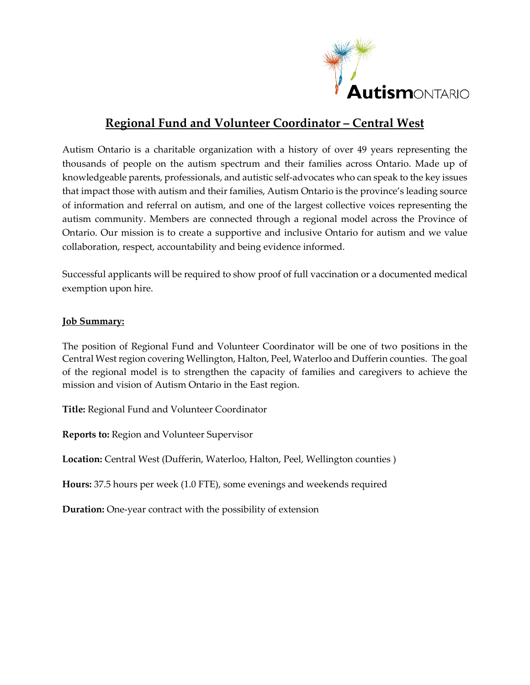

# **Regional Fund and Volunteer Coordinator – Central West**

Autism Ontario is a charitable organization with a history of over 49 years representing the thousands of people on the autism spectrum and their families across Ontario. Made up of knowledgeable parents, professionals, and autistic self-advocates who can speak to the key issues that impact those with autism and their families, Autism Ontario is the province's leading source of information and referral on autism, and one of the largest collective voices representing the autism community. Members are connected through a regional model across the Province of Ontario. Our mission is to create a supportive and inclusive Ontario for autism and we value collaboration, respect, accountability and being evidence informed.

Successful applicants will be required to show proof of full vaccination or a documented medical exemption upon hire.

#### **Job Summary:**

The position of Regional Fund and Volunteer Coordinator will be one of two positions in the Central West region covering Wellington, Halton, Peel, Waterloo and Dufferin counties. The goal of the regional model is to strengthen the capacity of families and caregivers to achieve the mission and vision of Autism Ontario in the East region.

**Title:** Regional Fund and Volunteer Coordinator

**Reports to:** Region and Volunteer Supervisor

**Location:** Central West (Dufferin, Waterloo, Halton, Peel, Wellington counties )

**Hours:** 37.5 hours per week (1.0 FTE), some evenings and weekends required

**Duration:** One-year contract with the possibility of extension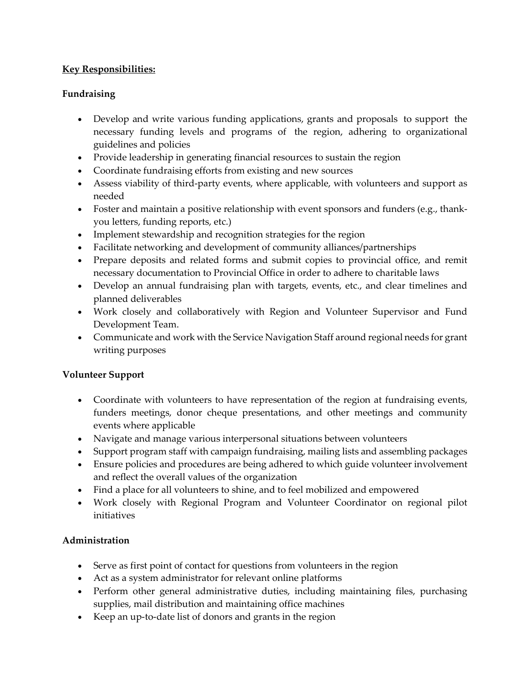### **Key Responsibilities:**

### **Fundraising**

- Develop and write various funding applications, grants and proposals to support the necessary funding levels and programs of the region, adhering to organizational guidelines and policies
- Provide leadership in generating financial resources to sustain the region
- Coordinate fundraising efforts from existing and new sources
- Assess viability of third-party events, where applicable, with volunteers and support as needed
- Foster and maintain a positive relationship with event sponsors and funders (e.g., thankyou letters, funding reports, etc.)
- Implement stewardship and recognition strategies for the region
- Facilitate networking and development of community alliances/partnerships
- Prepare deposits and related forms and submit copies to provincial office, and remit necessary documentation to Provincial Office in order to adhere to charitable laws
- Develop an annual fundraising plan with targets, events, etc., and clear timelines and planned deliverables
- Work closely and collaboratively with Region and Volunteer Supervisor and Fund Development Team.
- Communicate and work with the Service Navigation Staff around regional needs for grant writing purposes

### **Volunteer Support**

- Coordinate with volunteers to have representation of the region at fundraising events, funders meetings, donor cheque presentations, and other meetings and community events where applicable
- Navigate and manage various interpersonal situations between volunteers
- Support program staff with campaign fundraising, mailing lists and assembling packages
- Ensure policies and procedures are being adhered to which guide volunteer involvement and reflect the overall values of the organization
- Find a place for all volunteers to shine, and to feel mobilized and empowered
- Work closely with Regional Program and Volunteer Coordinator on regional pilot initiatives

### **Administration**

- Serve as first point of contact for questions from volunteers in the region
- Act as a system administrator for relevant online platforms
- Perform other general administrative duties, including maintaining files, purchasing supplies, mail distribution and maintaining office machines
- Keep an up-to-date list of donors and grants in the region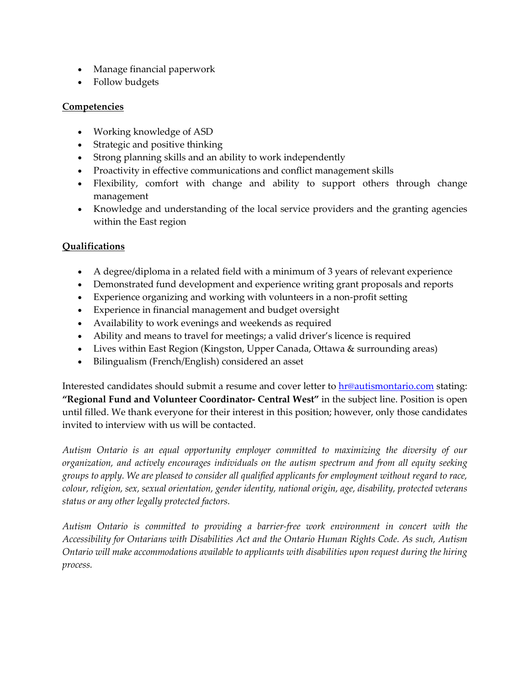- Manage financial paperwork
- Follow budgets

#### **Competencies**

- Working knowledge of ASD
- Strategic and positive thinking
- Strong planning skills and an ability to work independently
- Proactivity in effective communications and conflict management skills
- Flexibility, comfort with change and ability to support others through change management
- Knowledge and understanding of the local service providers and the granting agencies within the East region

### **Qualifications**

- A degree/diploma in a related field with a minimum of 3 years of relevant experience
- Demonstrated fund development and experience writing grant proposals and reports
- Experience organizing and working with volunteers in a non-profit setting
- Experience in financial management and budget oversight
- Availability to work evenings and weekends as required
- Ability and means to travel for meetings; a valid driver's licence is required
- Lives within East Region (Kingston, Upper Canada, Ottawa & surrounding areas)
- Bilingualism (French/English) considered an asset

Interested candidates should submit a resume and cover letter to [hr@autismontario.com](mailto:hr@autismontario.com) stating: **"Regional Fund and Volunteer Coordinator- Central West"** in the subject line. Position is open until filled. We thank everyone for their interest in this position; however, only those candidates invited to interview with us will be contacted.

*Autism Ontario is an equal opportunity employer committed to maximizing the diversity of our organization, and actively encourages individuals on the autism spectrum and from all equity seeking groups to apply. We are pleased to consider all qualified applicants for employment without regard to race, colour, religion, sex, sexual orientation, gender identity, national origin, age, disability, protected veterans status or any other legally protected factors.*

*Autism Ontario is committed to providing a barrier-free work environment in concert with the Accessibility for Ontarians with Disabilities Act and the Ontario Human Rights Code. As such, Autism Ontario will make accommodations available to applicants with disabilities upon request during the hiring process.*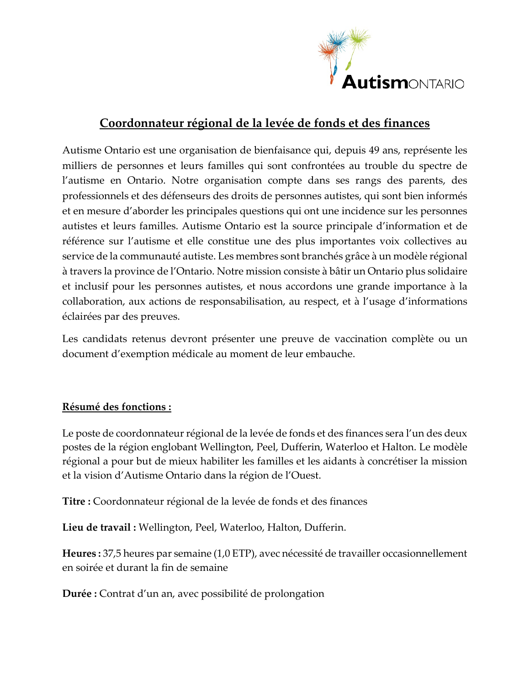

# **Coordonnateur régional de la levée de fonds et des finances**

Autisme Ontario est une organisation de bienfaisance qui, depuis 49 ans, représente les milliers de personnes et leurs familles qui sont confrontées au trouble du spectre de l'autisme en Ontario. Notre organisation compte dans ses rangs des parents, des professionnels et des défenseurs des droits de personnes autistes, qui sont bien informés et en mesure d'aborder les principales questions qui ont une incidence sur les personnes autistes et leurs familles. Autisme Ontario est la source principale d'information et de référence sur l'autisme et elle constitue une des plus importantes voix collectives au service de la communauté autiste. Les membres sont branchés grâce à un modèle régional à travers la province de l'Ontario. Notre mission consiste à bâtir un Ontario plus solidaire et inclusif pour les personnes autistes, et nous accordons une grande importance à la collaboration, aux actions de responsabilisation, au respect, et à l'usage d'informations éclairées par des preuves.

Les candidats retenus devront présenter une preuve de vaccination complète ou un document d'exemption médicale au moment de leur embauche.

# **Résumé des fonctions :**

Le poste de coordonnateur régional de la levée de fonds et des finances sera l'un des deux postes de la région englobant Wellington, Peel, Dufferin, Waterloo et Halton. Le modèle régional a pour but de mieux habiliter les familles et les aidants à concrétiser la mission et la vision d'Autisme Ontario dans la région de l'Ouest.

**Titre :** Coordonnateur régional de la levée de fonds et des finances

**Lieu de travail :** Wellington, Peel, Waterloo, Halton, Dufferin.

**Heures :** 37,5 heures par semaine (1,0 ETP), avec nécessité de travailler occasionnellement en soirée et durant la fin de semaine

**Durée :** Contrat d'un an, avec possibilité de prolongation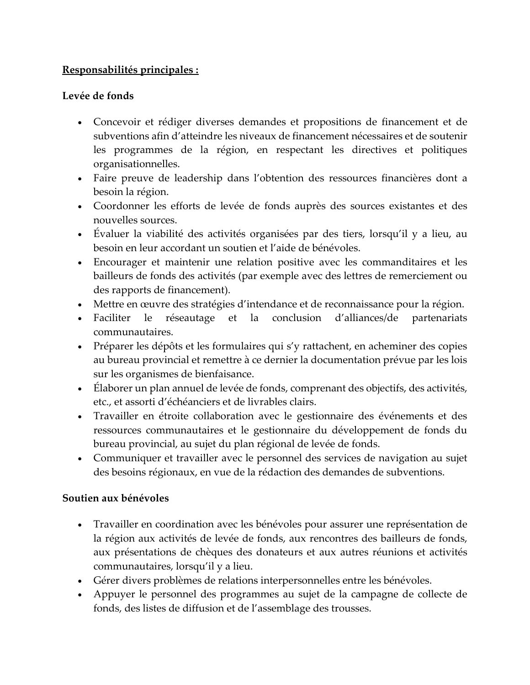# **Responsabilités principales :**

### **Levée de fonds**

- Concevoir et rédiger diverses demandes et propositions de financement et de subventions afin d'atteindre les niveaux de financement nécessaires et de soutenir les programmes de la région, en respectant les directives et politiques organisationnelles.
- Faire preuve de leadership dans l'obtention des ressources financières dont a besoin la région.
- Coordonner les efforts de levée de fonds auprès des sources existantes et des nouvelles sources.
- Évaluer la viabilité des activités organisées par des tiers, lorsqu'il y a lieu, au besoin en leur accordant un soutien et l'aide de bénévoles.
- Encourager et maintenir une relation positive avec les commanditaires et les bailleurs de fonds des activités (par exemple avec des lettres de remerciement ou des rapports de financement).
- Mettre en œuvre des stratégies d'intendance et de reconnaissance pour la région.
- Faciliter le réseautage et la conclusion d'alliances/de partenariats communautaires.
- Préparer les dépôts et les formulaires qui s'y rattachent, en acheminer des copies au bureau provincial et remettre à ce dernier la documentation prévue par les lois sur les organismes de bienfaisance.
- Elaborer un plan annuel de levée de fonds, comprenant des objectifs, des activités, etc., et assorti d'échéanciers et de livrables clairs.
- Travailler en étroite collaboration avec le gestionnaire des événements et des ressources communautaires et le gestionnaire du développement de fonds du bureau provincial, au sujet du plan régional de levée de fonds.
- Communiquer et travailler avec le personnel des services de navigation au sujet des besoins régionaux, en vue de la rédaction des demandes de subventions.

### **Soutien aux bénévoles**

- Travailler en coordination avec les bénévoles pour assurer une représentation de la région aux activités de levée de fonds, aux rencontres des bailleurs de fonds, aux présentations de chèques des donateurs et aux autres réunions et activités communautaires, lorsqu'il y a lieu.
- Gérer divers problèmes de relations interpersonnelles entre les bénévoles.
- Appuyer le personnel des programmes au sujet de la campagne de collecte de fonds, des listes de diffusion et de l'assemblage des trousses.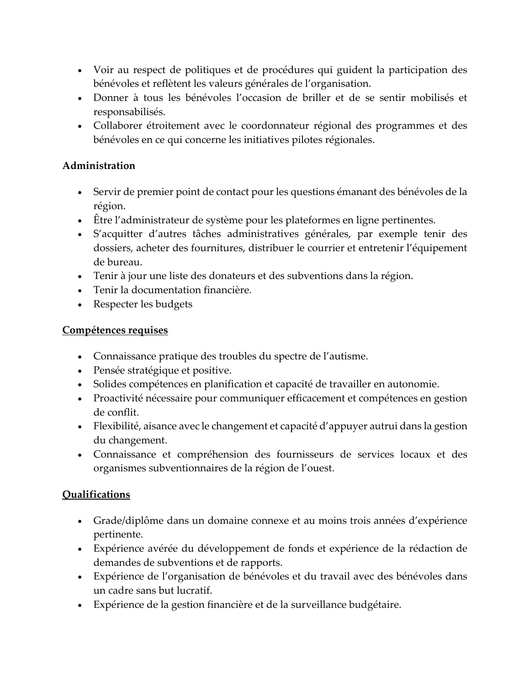- Voir au respect de politiques et de procédures qui guident la participation des bénévoles et reflètent les valeurs générales de l'organisation.
- Donner à tous les bénévoles l'occasion de briller et de se sentir mobilisés et responsabilisés.
- Collaborer étroitement avec le coordonnateur régional des programmes et des bénévoles en ce qui concerne les initiatives pilotes régionales.

## **Administration**

- Servir de premier point de contact pour les questions émanant des bénévoles de la région.
- Être l'administrateur de système pour les plateformes en ligne pertinentes.
- S'acquitter d'autres tâches administratives générales, par exemple tenir des dossiers, acheter des fournitures, distribuer le courrier et entretenir l'équipement de bureau.
- Tenir à jour une liste des donateurs et des subventions dans la région.
- Tenir la documentation financière.
- Respecter les budgets

# **Compétences requises**

- Connaissance pratique des troubles du spectre de l'autisme.
- Pensée stratégique et positive.
- Solides compétences en planification et capacité de travailler en autonomie.
- Proactivité nécessaire pour communiquer efficacement et compétences en gestion de conflit.
- Flexibilité, aisance avec le changement et capacité d'appuyer autrui dans la gestion du changement.
- Connaissance et compréhension des fournisseurs de services locaux et des organismes subventionnaires de la région de l'ouest.

# **Qualifications**

- Grade/diplôme dans un domaine connexe et au moins trois années d'expérience pertinente.
- Expérience avérée du développement de fonds et expérience de la rédaction de demandes de subventions et de rapports.
- Expérience de l'organisation de bénévoles et du travail avec des bénévoles dans un cadre sans but lucratif.
- Expérience de la gestion financière et de la surveillance budgétaire.